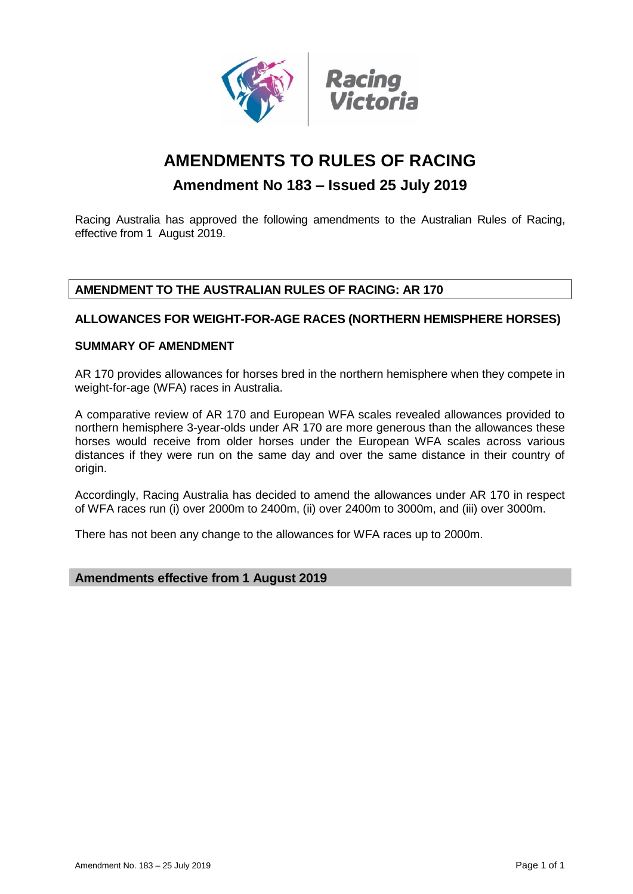

# **AMENDMENTS TO RULES OF RACING**

# **Amendment No 183 – Issued 25 July 2019**

Racing Australia has approved the following amendments to the Australian Rules of Racing, effective from 1 August 2019.

# **AMENDMENT TO THE AUSTRALIAN RULES OF RACING: AR 170**

# **ALLOWANCES FOR WEIGHT-FOR-AGE RACES (NORTHERN HEMISPHERE HORSES)**

# **SUMMARY OF AMENDMENT**

AR 170 provides allowances for horses bred in the northern hemisphere when they compete in weight-for-age (WFA) races in Australia.

A comparative review of AR 170 and European WFA scales revealed allowances provided to northern hemisphere 3-year-olds under AR 170 are more generous than the allowances these horses would receive from older horses under the European WFA scales across various distances if they were run on the same day and over the same distance in their country of origin.

Accordingly, Racing Australia has decided to amend the allowances under AR 170 in respect of WFA races run (i) over 2000m to 2400m, (ii) over 2400m to 3000m, and (iii) over 3000m.

There has not been any change to the allowances for WFA races up to 2000m.

# **Amendments effective from 1 August 2019**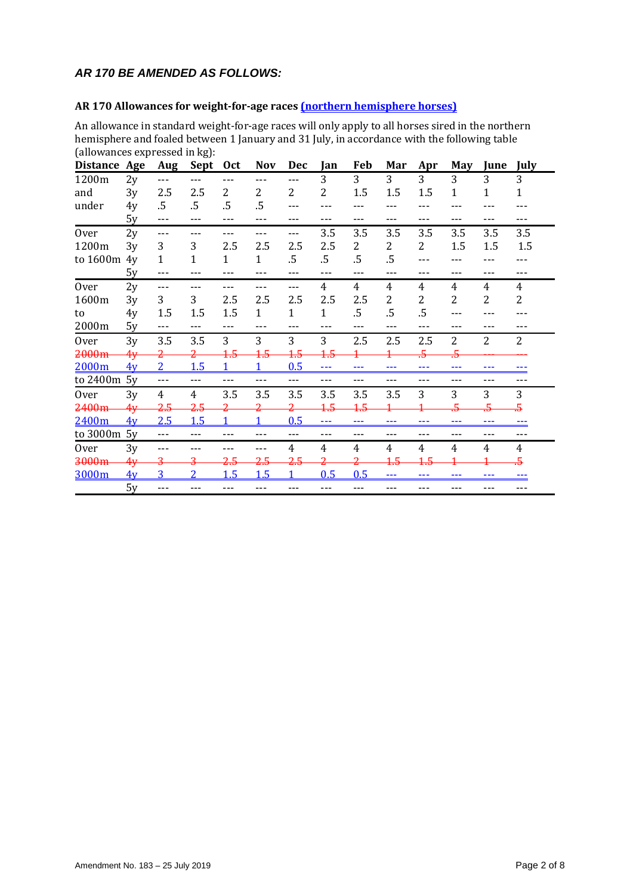# *AR 170 BE AMENDED AS FOLLOWS:*

# **AR 170 Allowances for weight-for-age races (northern hemisphere horses)**

An allowance in standard weight-for-age races will only apply to all horses sired in the northern hemisphere and foaled between 1 January and 31 July, in accordance with the following table (allowances expressed in kg):

| <b>Distance</b> | Age | Aug            | Sept              | <b>Oct</b>   | <b>Nov</b>     | Dec          | Jan          | Feb   | Mar   | Apr | <b>May</b>     | June | July           |
|-----------------|-----|----------------|-------------------|--------------|----------------|--------------|--------------|-------|-------|-----|----------------|------|----------------|
| 1200m           | 2y  | $---$          |                   |              | ---            | $---$        | 3            | 3     | 3     | 3   | 3              | 3    | 3              |
| and             | 3y  | 2.5            | 2.5               | 2            | 2              | 2            | 2            | 1.5   | 1.5   | 1.5 | $\mathbf{1}$   | 1    | 1              |
| under           | 4y  | $.5\,$         | $.5\,$            | .5           | .5             |              |              |       |       |     |                |      |                |
|                 | 5y  | ---            |                   | $---$        |                |              |              |       | ---   |     | ---            |      | ---            |
| <b>Over</b>     | 2y  | $---$          |                   | ---          |                | ---          | 3.5          | 3.5   | 3.5   | 3.5 | 3.5            | 3.5  | 3.5            |
| 1200m           | 3y  | 3              | 3                 | 2.5          | 2.5            | 2.5          | 2.5          | 2     | 2     | 2   | 1.5            | 1.5  | 1.5            |
| to 1600m        | 4y  | $\mathbf{1}$   | 1                 | $\mathbf{1}$ | 1              | .5           | $.5\,$       | .5    | .5    |     |                |      |                |
|                 | 5y  | ---            |                   | ---          |                | ---          | $---$        | $---$ | ---   |     | ---            |      | ---            |
| <b>Over</b>     | 2y  | ---            |                   |              |                | ---          | 4            | 4     | 4     | 4   | 4              | 4    | 4              |
| 1600m           | 3y  | 3              | 3                 | 2.5          | 2.5            | 2.5          | 2.5          | 2.5   | 2     | 2   | $\overline{2}$ | 2    | 2              |
| to              | 4y  | 1.5            | 1.5               | 1.5          | 1              | $\mathbf{1}$ | $\mathbf{1}$ | .5    | .5    | .5  |                |      |                |
| 2000m           | 5y  | ---            |                   |              | ---            |              | ---          |       | $---$ | --- | ---            |      | ---            |
| <b>Over</b>     | 3y  | 3.5            | 3.5               | 3            | 3              | 3            | 3            | 2.5   | 2.5   | 2.5 | $\overline{2}$ | 2    | 2              |
| 2000m           | 4y  |                |                   | 4.5          | <del>1.5</del> | 4.5          | 4.5          |       |       | 5   | $\overline{5}$ |      |                |
| 2000m           | 4v  | 2 <sup>1</sup> | 1.5               |              |                | 0.5          | ---          | $--$  | $--$  | --- | ---            | ---  |                |
| to 2400m 5y     |     | $- - -$        | $---$             | $---$        | ---            | ---          | $---$        | ---   | ---   | --- | ---            | ---  | ---            |
| <b>Over</b>     | 3y  | 4              | 4                 | 3.5          | 3.5            | 3.5          | 3.5          | 3.5   | 3.5   | 3   | 3              | 3    | 3              |
| 2400m           | 4y  | 2.5            | 2.5               |              |                |              | 4.5          | 4.5   |       |     |                |      | $\overline{5}$ |
| 2400m           | 4v  | 2.5            | 1.5               |              |                | 0.5          | $---$        | ---   | ---   | --- | ---            | ---  |                |
| to 3000m 5y     |     | $---$          | $\qquad \qquad -$ | $---$        | ---            | ---          | $---$        | $---$ | ---   | --- | ---            | ---  | ---            |
| <b>Over</b>     | 3y  | ---            |                   |              |                | 4            | 4            | 4     | 4     | 4   | $\overline{4}$ | 4    | 4              |
| 3000m           | 4y  | 3              |                   | 2.5          | 2.5            | 2.5          |              | 2     | 4.5   |     |                |      | 5              |
| 3000m           | 4v  | 3              | $\overline{2}$    | 1.5          | 1.5            |              | 0.5          | 0.5   | ---   | --- | ---            | ---  |                |
|                 | 5y  | $---$          |                   |              | ---            |              | ---          | ---   | ---   |     | ---            |      |                |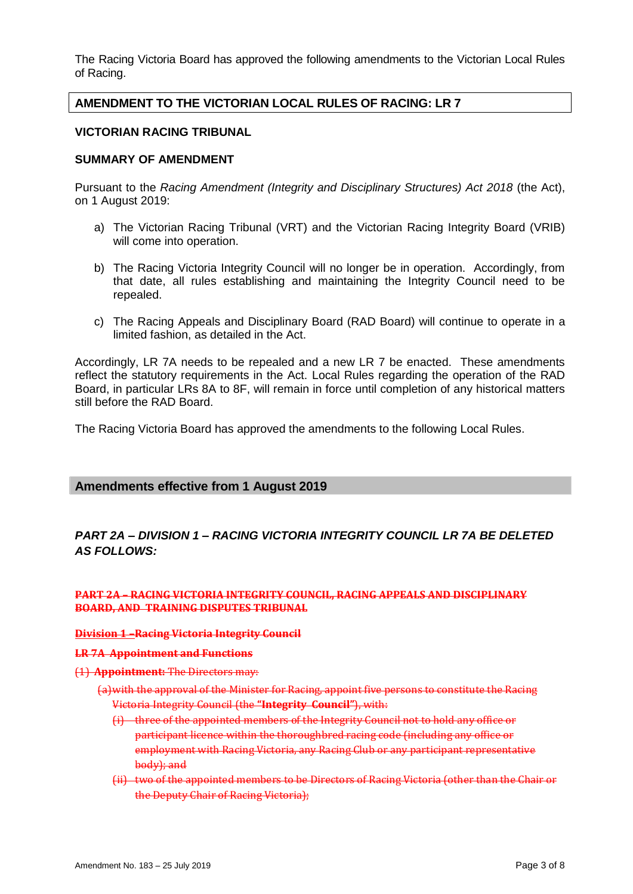The Racing Victoria Board has approved the following amendments to the Victorian Local Rules of Racing.

# **AMENDMENT TO THE VICTORIAN LOCAL RULES OF RACING: LR 7**

### **VICTORIAN RACING TRIBUNAL**

### **SUMMARY OF AMENDMENT**

Pursuant to the *Racing Amendment (Integrity and Disciplinary Structures) Act 2018* (the Act), on 1 August 2019:

- a) The Victorian Racing Tribunal (VRT) and the Victorian Racing Integrity Board (VRIB) will come into operation.
- b) The Racing Victoria Integrity Council will no longer be in operation. Accordingly, from that date, all rules establishing and maintaining the Integrity Council need to be repealed.
- c) The Racing Appeals and Disciplinary Board (RAD Board) will continue to operate in a limited fashion, as detailed in the Act.

Accordingly, LR 7A needs to be repealed and a new LR 7 be enacted. These amendments reflect the statutory requirements in the Act. Local Rules regarding the operation of the RAD Board, in particular LRs 8A to 8F, will remain in force until completion of any historical matters still before the RAD Board.

The Racing Victoria Board has approved the amendments to the following Local Rules.

### **Amendments effective from 1 August 2019**

# *PART 2A – DIVISION 1 – RACING VICTORIA INTEGRITY COUNCIL LR 7A BE DELETED AS FOLLOWS:*

### **PART 2A – RACING VICTORIA INTEGRITY COUNCIL, RACING APPEALS AND DISCIPLINARY BOARD, AND TRAINING DISPUTES TRIBUNAL**

#### **Division 1 –Racing Victoria Integrity Council**

#### **LR 7A Appointment and Functions**

### (1) **Appointment:** The Directors may:

- (a)with the approval of the Minister for Racing, appoint five persons to constitute the Racing Victoria Integrity Council (the **"Integrity Council"**), with:
	- (i) three of the appointed members of the Integrity Council not to hold any office or participant licence within the thoroughbred racing code (including any office or employment with Racing Victoria, any Racing Club or any participant representative body); and
	- (ii) two of the appointed members to be Directors of Racing Victoria (other than the Chair or the Deputy Chair of Racing Victoria);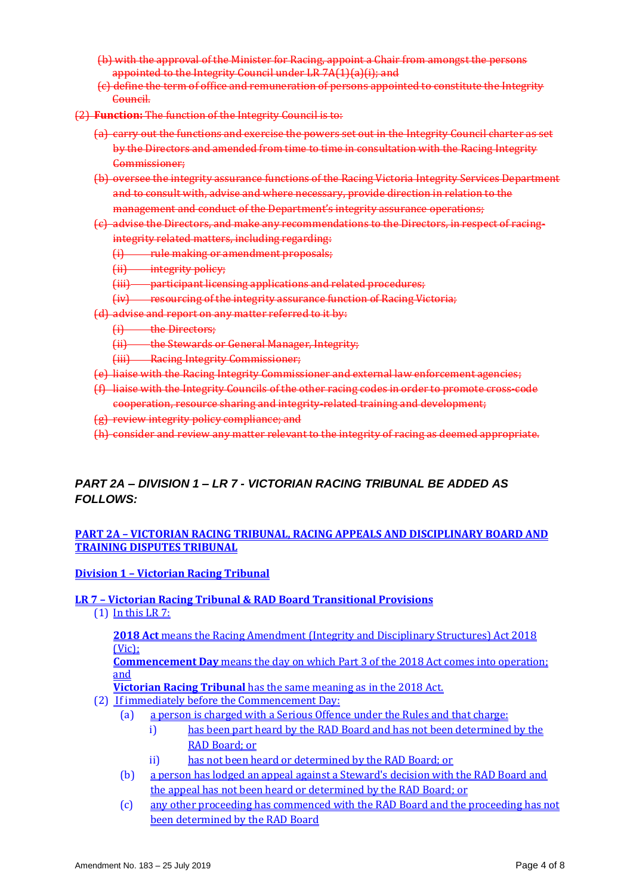- (b) with the approval of the Minister for Racing, appoint a Chair from amongst the persons appointed to the Integrity Council under LR 7A(1)(a)(i); and
- (c) define the term of office and remuneration of persons appointed to constitute the Integrity Council.
- (2) **Function:** The function of the Integrity Council is to:
	- (a) carry out the functions and exercise the powers set out in the Integrity Council charter as set by the Directors and amended from time to time in consultation with the Racing Integrity Commissioner;
	- (b) oversee the integrity assurance functions of the Racing Victoria Integrity Services Department and to consult with, advise and where necessary, provide direction in relation to the management and conduct of the Department's integrity assurance operations;
	- (c) advise the Directors, and make any recommendations to the Directors, in respect of racingintegrity related matters, including regarding:
		- $(i)$  rule making or amendment proposals;<br> $(i)$  integrity policy:
		- (ii) integrity policy;
		- (iii) participant licensing applications and related procedures;
		- (iv) resourcing of the integrity assurance function of Racing Victoria;
	- (d) advise and report on any matter referred to it by:
		- (i) the Directors;
		- (ii) the Stewards or General Manager, Integrity;
		- (iii) Racing Integrity Commissioner;
	- (e) liaise with the Racing Integrity Commissioner and external law enforcement agencies;
	- (f) liaise with the Integrity Councils of the other racing codes in order to promote cross-code cooperation, resource sharing and integrity-related training and development;
	- (g) review integrity policy compliance; and
	- (h) consider and review any matter relevant to the integrity of racing as deemed appropriate.

# *PART 2A – DIVISION 1 – LR 7 - VICTORIAN RACING TRIBUNAL BE ADDED AS FOLLOWS:*

# **PART 2A – VICTORIAN RACING TRIBUNAL, RACING APPEALS AND DISCIPLINARY BOARD AND TRAINING DISPUTES TRIBUNAL**

### **Division 1 – Victorian Racing Tribunal**

### **LR 7 – Victorian Racing Tribunal & RAD Board Transitional Provisions**

(1) In this LR 7:

**2018 Act** means the Racing Amendment (Integrity and Disciplinary Structures) Act 2018 (Vic);

**Commencement Day** means the day on which Part 3 of the 2018 Act comes into operation; and

**Victorian Racing Tribunal** has the same meaning as in the 2018 Act.

- (2) If immediately before the Commencement Day:
	- (a) a person is charged with a Serious Offence under the Rules and that charge:
		- i) has been part heard by the RAD Board and has not been determined by the RAD Board; or
		- ii) has not been heard or determined by the RAD Board; or
	- (b) a person has lodged an appeal against a Steward's decision with the RAD Board and the appeal has not been heard or determined by the RAD Board; or
	- (c) any other proceeding has commenced with the RAD Board and the proceeding has not been determined by the RAD Board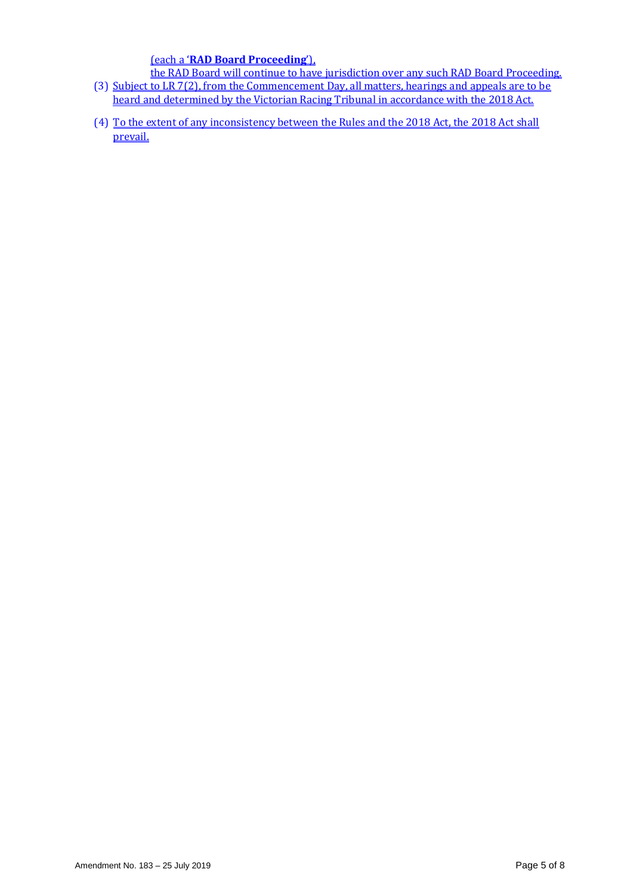(each a '**RAD Board Proceeding**'),

- the RAD Board will continue to have jurisdiction over any such RAD Board Proceeding. (3) Subject to LR 7(2), from the Commencement Day, all matters, hearings and appeals are to be heard and determined by the Victorian Racing Tribunal in accordance with the 2018 Act.
- (4) To the extent of any inconsistency between the Rules and the 2018 Act, the 2018 Act shall prevail.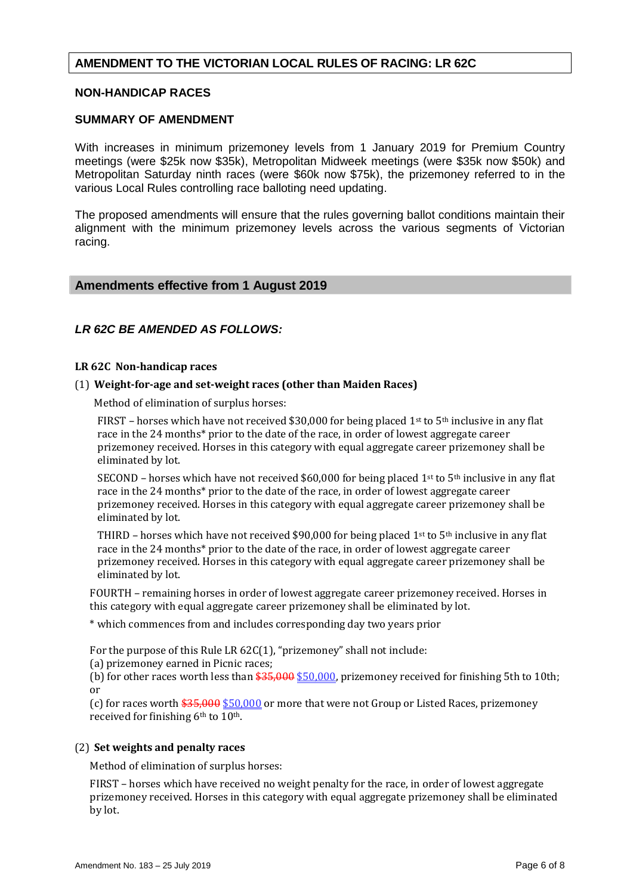# **AMENDMENT TO THE VICTORIAN LOCAL RULES OF RACING: LR 62C**

### **NON-HANDICAP RACES**

### **SUMMARY OF AMENDMENT**

With increases in minimum prizemoney levels from 1 January 2019 for Premium Country meetings (were \$25k now \$35k), Metropolitan Midweek meetings (were \$35k now \$50k) and Metropolitan Saturday ninth races (were \$60k now \$75k), the prizemoney referred to in the various Local Rules controlling race balloting need updating.

The proposed amendments will ensure that the rules governing ballot conditions maintain their alignment with the minimum prizemoney levels across the various segments of Victorian racing.

### **Amendments effective from 1 August 2019**

### *LR 62C BE AMENDED AS FOLLOWS:*

#### **LR 62C Non-handicap races**

### (1) **Weight-for-age and set-weight races (other than Maiden Races)**

Method of elimination of surplus horses:

FIRST – horses which have not received \$30,000 for being placed 1st to 5<sup>th</sup> inclusive in any flat race in the 24 months\* prior to the date of the race, in order of lowest aggregate career prizemoney received. Horses in this category with equal aggregate career prizemoney shall be eliminated by lot.

SECOND – horses which have not received \$60,000 for being placed  $1<sup>st</sup>$  to  $5<sup>th</sup>$  inclusive in any flat race in the 24 months\* prior to the date of the race, in order of lowest aggregate career prizemoney received. Horses in this category with equal aggregate career prizemoney shall be eliminated by lot.

THIRD – horses which have not received \$90,000 for being placed 1st to 5<sup>th</sup> inclusive in any flat race in the 24 months\* prior to the date of the race, in order of lowest aggregate career prizemoney received. Horses in this category with equal aggregate career prizemoney shall be eliminated by lot.

FOURTH – remaining horses in order of lowest aggregate career prizemoney received. Horses in this category with equal aggregate career prizemoney shall be eliminated by lot.

\* which commences from and includes corresponding day two years prior

For the purpose of this Rule LR 62C(1), "prizemoney" shall not include:

(a) prizemoney earned in Picnic races;

(b) for other races worth less than  $$35,000$  \$50,000, prizemoney received for finishing 5th to 10th; or

(c) for races worth  $$35,000$  \$50,000 or more that were not Group or Listed Races, prizemoney received for finishing 6<sup>th</sup> to 10<sup>th</sup>.

### (2) **Set weights and penalty races**

Method of elimination of surplus horses:

FIRST – horses which have received no weight penalty for the race, in order of lowest aggregate prizemoney received. Horses in this category with equal aggregate prizemoney shall be eliminated by lot.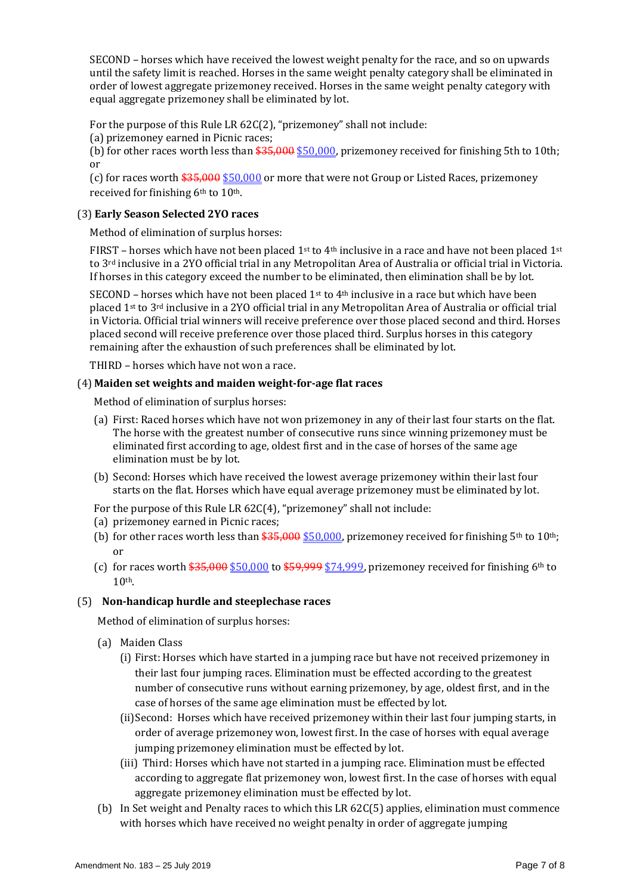SECOND – horses which have received the lowest weight penalty for the race, and so on upwards until the safety limit is reached. Horses in the same weight penalty category shall be eliminated in order of lowest aggregate prizemoney received. Horses in the same weight penalty category with equal aggregate prizemoney shall be eliminated by lot.

For the purpose of this Rule LR 62C(2), "prizemoney" shall not include:

(a) prizemoney earned in Picnic races;

(b) for other races worth less than  $$35,000$  \$50,000, prizemoney received for finishing 5th to 10th; or

(c) for races worth  $$35,000 $50,000$  or more that were not Group or Listed Races, prizemoney received for finishing 6<sup>th</sup> to 10<sup>th</sup>.

# (3) **Early Season Selected 2YO races**

Method of elimination of surplus horses:

FIRST – horses which have not been placed 1<sup>st</sup> to 4<sup>th</sup> inclusive in a race and have not been placed 1<sup>st</sup> to 3rd inclusive in a 2YO official trial in any Metropolitan Area of Australia or official trial in Victoria. If horses in this category exceed the number to be eliminated, then elimination shall be by lot.

SECOND – horses which have not been placed  $1<sup>st</sup>$  to  $4<sup>th</sup>$  inclusive in a race but which have been placed 1st to 3rd inclusive in a 2YO official trial in any Metropolitan Area of Australia or official trial in Victoria. Official trial winners will receive preference over those placed second and third. Horses placed second will receive preference over those placed third. Surplus horses in this category remaining after the exhaustion of such preferences shall be eliminated by lot.

THIRD – horses which have not won a race.

# (4) **Maiden set weights and maiden weight-for-age flat races**

Method of elimination of surplus horses:

- (a) First: Raced horses which have not won prizemoney in any of their last four starts on the flat. The horse with the greatest number of consecutive runs since winning prizemoney must be eliminated first according to age, oldest first and in the case of horses of the same age elimination must be by lot.
- (b) Second: Horses which have received the lowest average prizemoney within their last four starts on the flat. Horses which have equal average prizemoney must be eliminated by lot.
- For the purpose of this Rule LR 62C(4), "prizemoney" shall not include:
- (a) prizemoney earned in Picnic races;
- (b) for other races worth less than  $$35,000$  \$50,000, prizemoney received for finishing 5<sup>th</sup> to 10<sup>th</sup>; or
- (c) for races worth  $$35,000 $50,000$  to  $$59,999 $74,999$ , prizemoney received for finishing 6<sup>th</sup> to  $10<sup>th</sup>$

# (5) **Non-handicap hurdle and steeplechase races**

Method of elimination of surplus horses:

- (a) Maiden Class
	- (i) First: Horses which have started in a jumping race but have not received prizemoney in their last four jumping races. Elimination must be effected according to the greatest number of consecutive runs without earning prizemoney, by age, oldest first, and in the case of horses of the same age elimination must be effected by lot.
	- (ii)Second: Horses which have received prizemoney within their last four jumping starts, in order of average prizemoney won, lowest first. In the case of horses with equal average jumping prizemoney elimination must be effected by lot.
	- (iii) Third: Horses which have not started in a jumping race. Elimination must be effected according to aggregate flat prizemoney won, lowest first. In the case of horses with equal aggregate prizemoney elimination must be effected by lot.
- (b) In Set weight and Penalty races to which this LR 62C(5) applies, elimination must commence with horses which have received no weight penalty in order of aggregate jumping